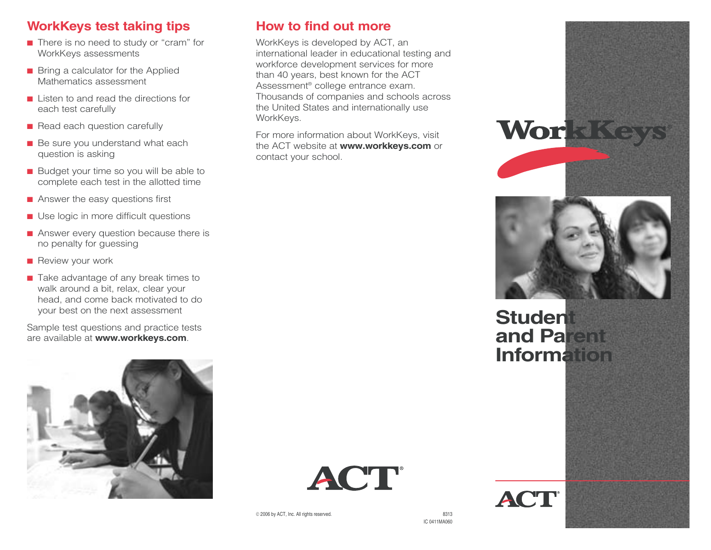### **WorkKeys test taking tips**

- There is no need to study or "cram" for WorkKeys assessments
- Bring a calculator for the Applied Mathematics assessment
- Listen to and read the directions for each test carefully
- Read each question carefully
- Be sure you understand what each question is asking
- Budget your time so you will be able to complete each test in the allotted time
- Answer the easy questions first
- Use logic in more difficult questions
- Answer every question because there is no penalty for guessing
- Review your work
- Take advantage of any break times to walk around a bit, relax, clear your head, and come back motivated to do your best on the next assessment

Sample test questions and practice tests are available at **www.workkeys.com**.



#### **How to find out more**

WorkKeys is developed by ACT, an international leader in educational testing and workforce development services for more than 40 years, best known for the ACT Assessment® college entrance exam. Thousands of companies and schools across the United States and internationally use WorkKeys.

For more information about WorkKeys, visit the ACT website at **www.workkeys.com** or contact your school.







# **Student and Parent Information**